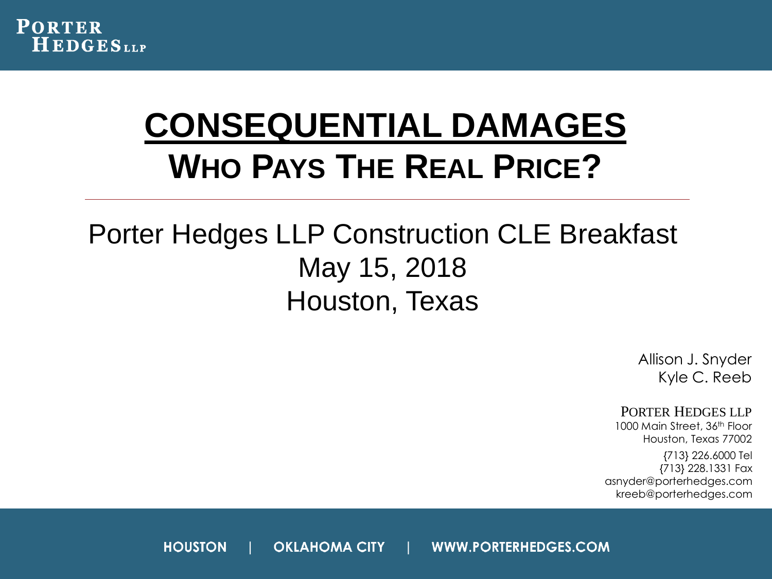

### **CONSEQUENTIAL DAMAGES WHO PAYS THE REAL PRICE?**

#### Porter Hedges LLP Construction CLE Breakfast May 15, 2018 Houston, Texas

Allison J. Snyder Kyle C. Reeb

PORTER HEDGES LLP

1000 Main Street, 36<sup>th</sup> Floor Houston, Texas 77002

{713} 226.6000 Tel {713} 228.1331 Fax asnyder@porterhedges.com kreeb@porterhedges.com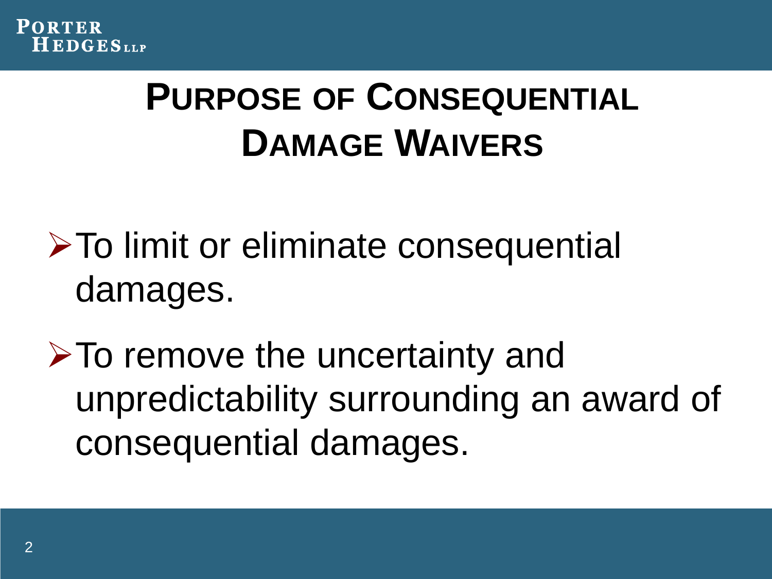

## **PURPOSE OF CONSEQUENTIAL DAMAGE WAIVERS**

**≻To limit or eliminate consequential** damages.

 $\triangleright$  To remove the uncertainty and unpredictability surrounding an award of consequential damages.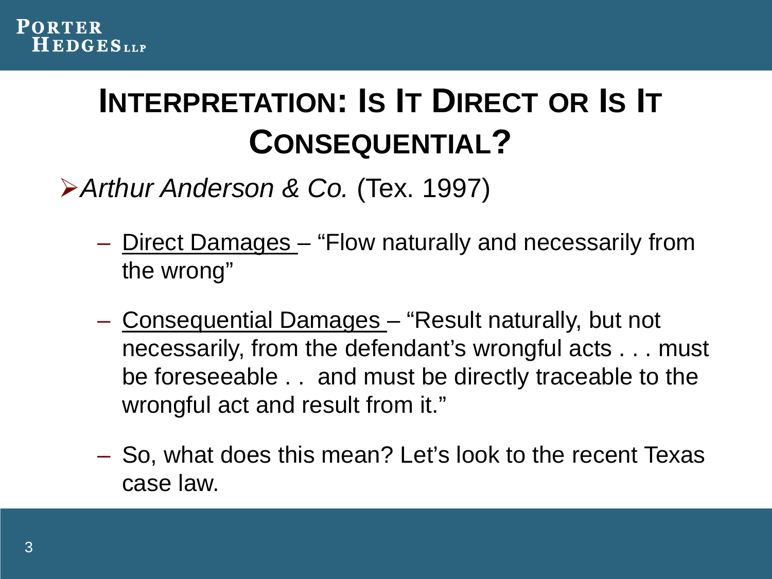### **INTERPRETATION: IS IT DIRECT OR IS IT CONSEQUENTIAL?**

*Arthur Anderson & Co.* (Tex. 1997)

- Direct Damages "Flow naturally and necessarily from the wrong"
- Consequential Damages "Result naturally, but not necessarily, from the defendant's wrongful acts . . . must be foreseeable . . and must be directly traceable to the wrongful act and result from it."
- So, what does this mean? Let's look to the recent Texas case law.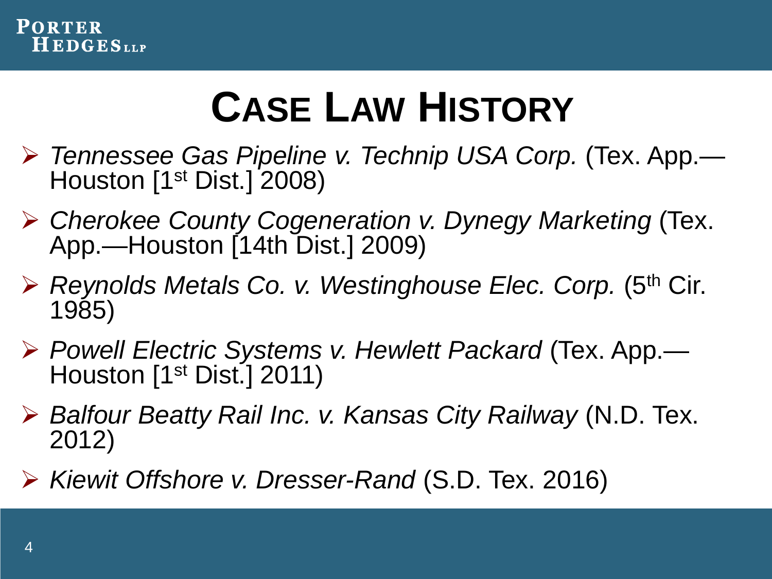

# **CASE LAW HISTORY**

- *Tennessee Gas Pipeline v. Technip USA Corp.* (Tex. App.— Houston [1<sup>st</sup> Dist.] 2008)
- *Cherokee County Cogeneration v. Dynegy Marketing* (Tex. App.—Houston [14th Dist.] 2009)
- *Reynolds Metals Co. v. Westinghouse Elec. Corp.* (5th Cir. 1985)
- *Powell Electric Systems v. Hewlett Packard* (Tex. App.— Houston [1<sup>st</sup> Dist.] 2011)
- *Balfour Beatty Rail Inc. v. Kansas City Railway* (N.D. Tex. 2012)
- *Kiewit Offshore v. Dresser-Rand* (S.D. Tex. 2016)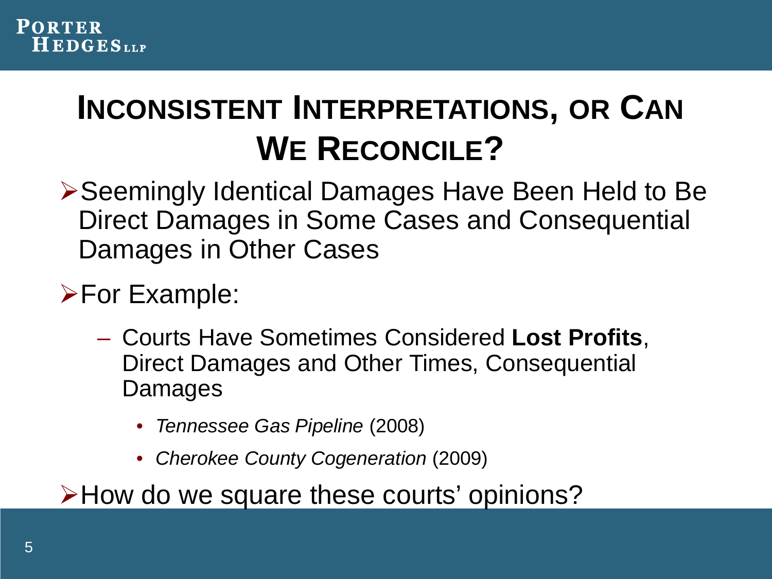### **INCONSISTENT INTERPRETATIONS, OR CAN WE RECONCILE?**

**≻Seemingly Identical Damages Have Been Held to Be** Direct Damages in Some Cases and Consequential Damages in Other Cases

**>For Example:** 

- Courts Have Sometimes Considered **Lost Profits**, Direct Damages and Other Times, Consequential Damages
	- *Tennessee Gas Pipeline* (2008)
	- *Cherokee County Cogeneration* (2009)

How do we square these courts' opinions?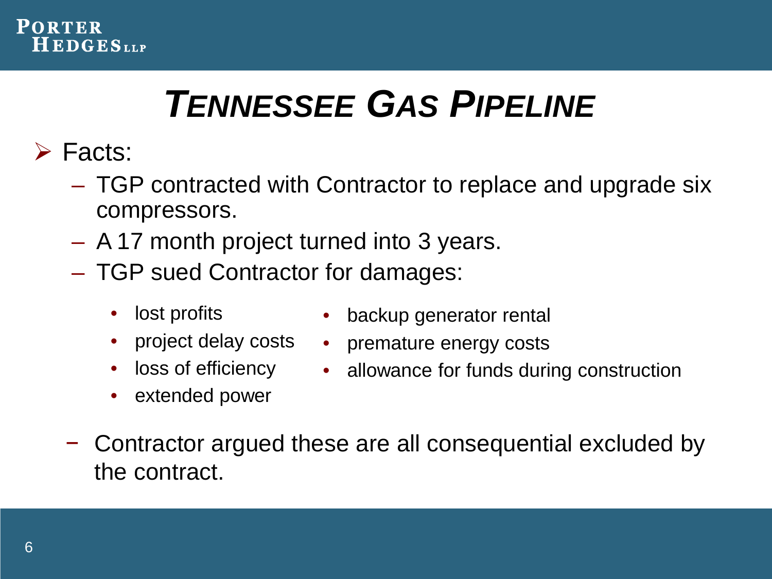

# *TENNESSEE GAS PIPELINE*

- **≻** Facts:
	- TGP contracted with Contractor to replace and upgrade six compressors.
	- A 17 month project turned into 3 years.
	- TGP sued Contractor for damages:
		- lost profits
		- project delay costs
		- loss of efficiency
		- extended power
- backup generator rental
- premature energy costs
- allowance for funds during construction
- − Contractor argued these are all consequential excluded by the contract.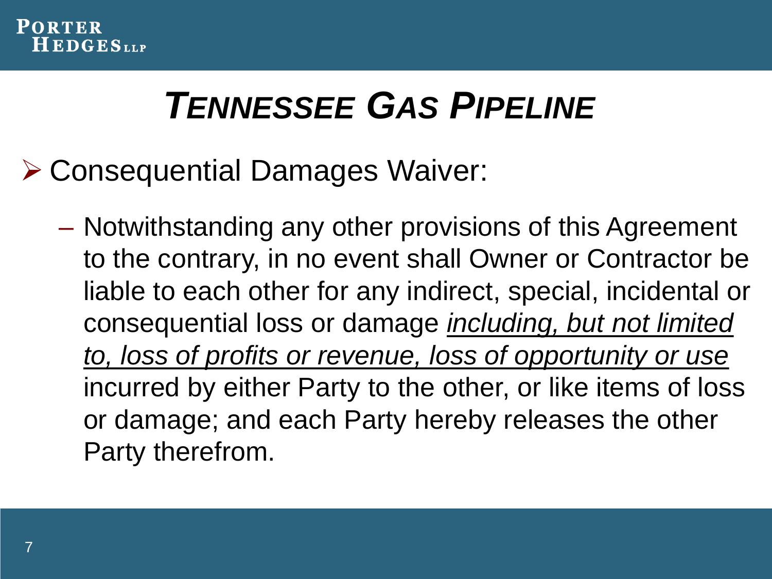

## *TENNESSEE GAS PIPELINE*

- Consequential Damages Waiver:
	- Notwithstanding any other provisions of this Agreement to the contrary, in no event shall Owner or Contractor be liable to each other for any indirect, special, incidental or consequential loss or damage *including, but not limited to, loss of profits or revenue, loss of opportunity or use* incurred by either Party to the other, or like items of loss or damage; and each Party hereby releases the other Party therefrom.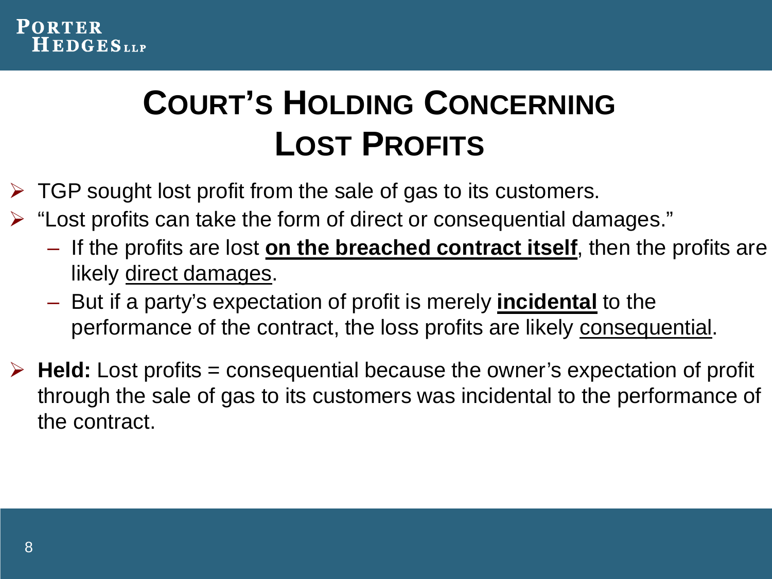

### **COURT'S HOLDING CONCERNING LOST PROFITS**

- $\triangleright$  TGP sought lost profit from the sale of gas to its customers.
- $\triangleright$  "Lost profits can take the form of direct or consequential damages."
	- If the profits are lost **on the breached contract itself**, then the profits are likely direct damages.
	- But if a party's expectation of profit is merely **incidental** to the performance of the contract, the loss profits are likely consequential.
- $\triangleright$  **Held:** Lost profits = consequential because the owner's expectation of profit through the sale of gas to its customers was incidental to the performance of the contract.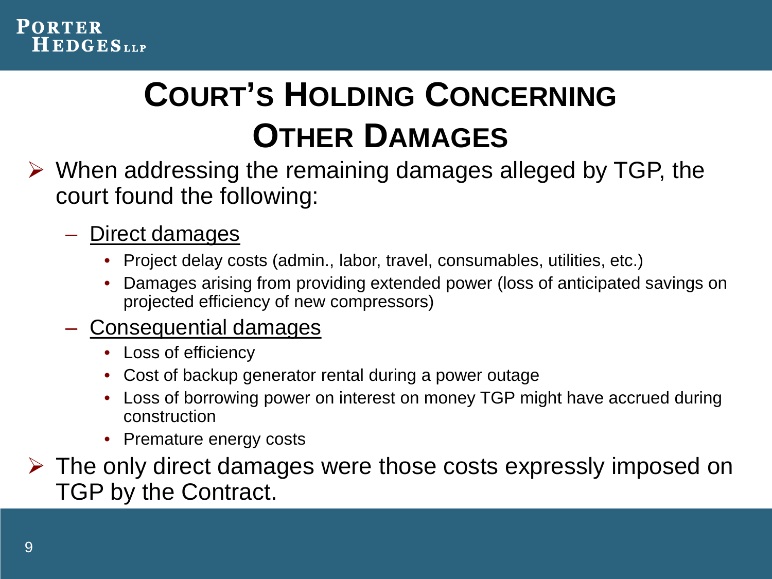

### **COURT'S HOLDING CONCERNING OTHER DAMAGES**

- $\triangleright$  When addressing the remaining damages alleged by TGP, the court found the following:
	- Direct damages
		- Project delay costs (admin., labor, travel, consumables, utilities, etc.)
		- Damages arising from providing extended power (loss of anticipated savings on projected efficiency of new compressors)
	- Consequential damages
		- Loss of efficiency
		- Cost of backup generator rental during a power outage
		- Loss of borrowing power on interest on money TGP might have accrued during construction
		- Premature energy costs
- $\triangleright$  The only direct damages were those costs expressly imposed on TGP by the Contract.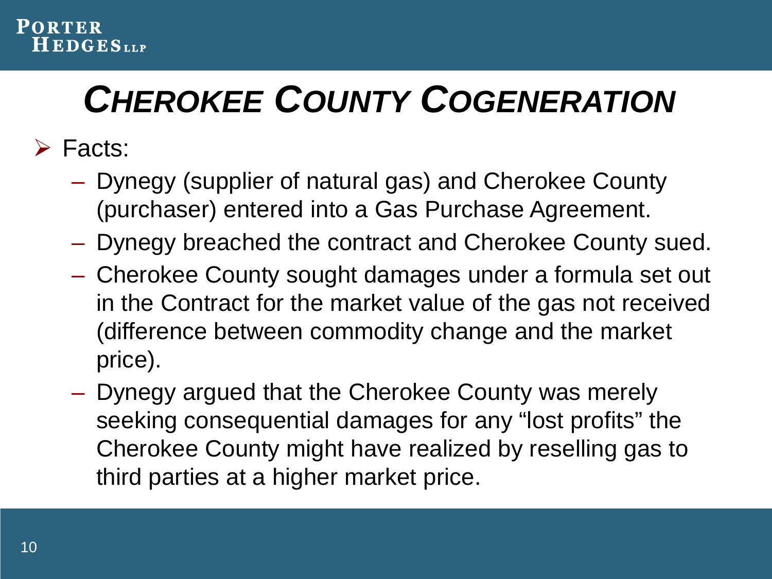# *CHEROKEE COUNTY COGENERATION*

Facts:

- Dynegy (supplier of natural gas) and Cherokee County (purchaser) entered into a Gas Purchase Agreement.
- Dynegy breached the contract and Cherokee County sued.
- Cherokee County sought damages under a formula set out in the Contract for the market value of the gas not received (difference between commodity change and the market price).
- Dynegy argued that the Cherokee County was merely seeking consequential damages for any "lost profits" the Cherokee County might have realized by reselling gas to third parties at a higher market price.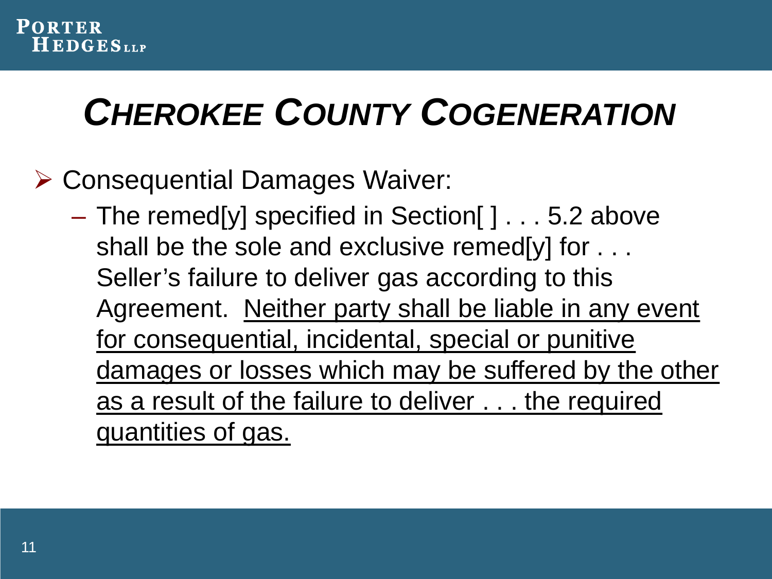# *CHEROKEE COUNTY COGENERATION*

#### Consequential Damages Waiver:

– The remed[y] specified in Section[ ] . . . 5.2 above shall be the sole and exclusive remed[y] for . . . Seller's failure to deliver gas according to this Agreement. Neither party shall be liable in any event for consequential, incidental, special or punitive damages or losses which may be suffered by the other as a result of the failure to deliver . . . the required quantities of gas.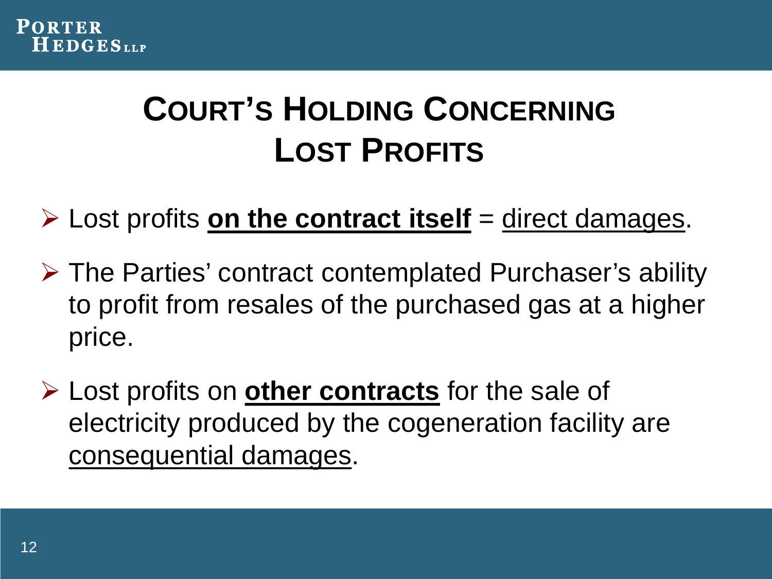### **COURT'S HOLDING CONCERNING LOST PROFITS**

 $\triangleright$  Lost profits **on the contract itself** = direct damages.

- $\triangleright$  The Parties' contract contemplated Purchaser's ability to profit from resales of the purchased gas at a higher price.
- Lost profits on **other contracts** for the sale of electricity produced by the cogeneration facility are consequential damages.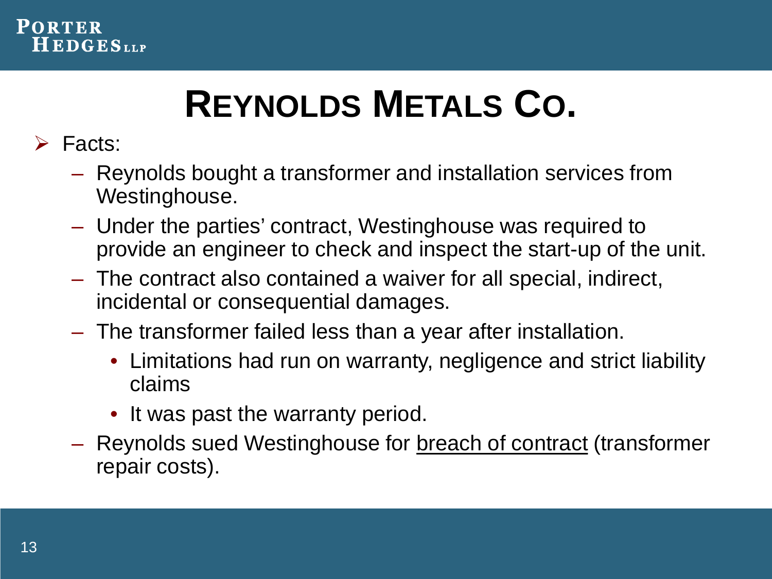

# **REYNOLDS METALS CO.**

- $\triangleright$  Facts:
	- Reynolds bought a transformer and installation services from Westinghouse.
	- Under the parties' contract, Westinghouse was required to provide an engineer to check and inspect the start-up of the unit.
	- The contract also contained a waiver for all special, indirect, incidental or consequential damages.
	- The transformer failed less than a year after installation.
		- Limitations had run on warranty, negligence and strict liability claims
		- It was past the warranty period.
	- Reynolds sued Westinghouse for breach of contract (transformer repair costs).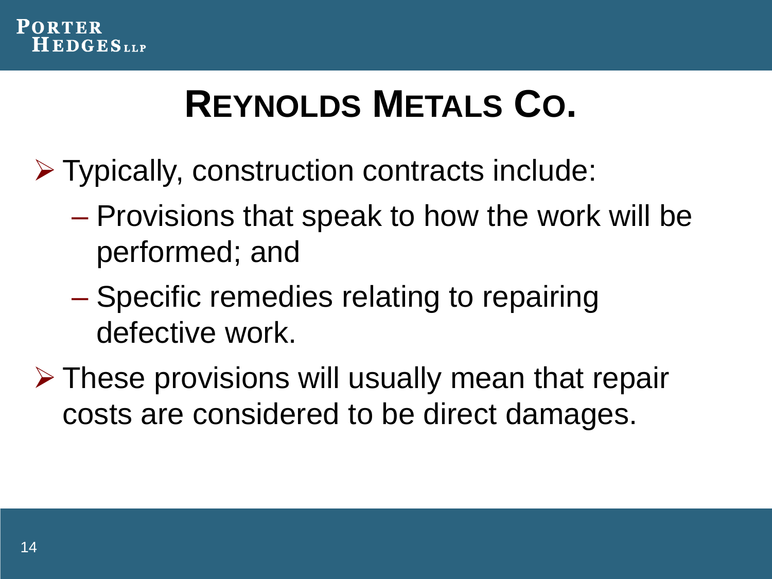

# **REYNOLDS METALS CO.**

- Typically, construction contracts include:
	- Provisions that speak to how the work will be performed; and
	- Specific remedies relating to repairing defective work.
- $\triangleright$  These provisions will usually mean that repair costs are considered to be direct damages.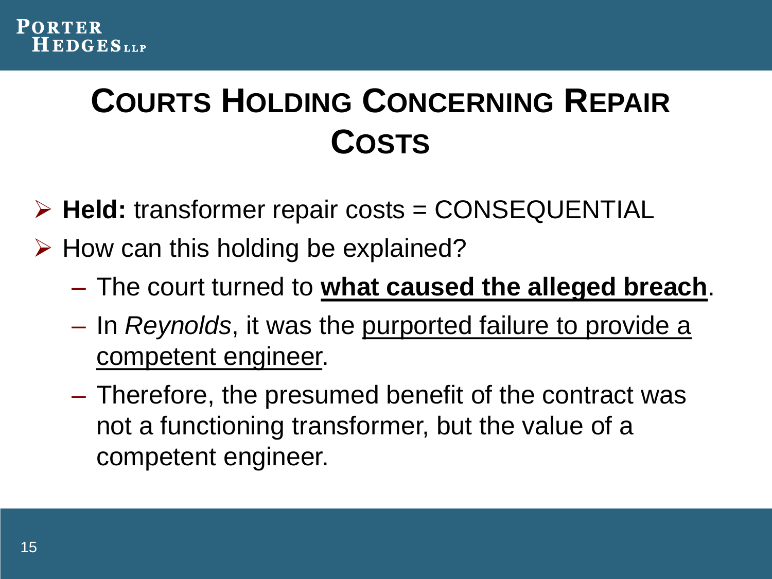

### **COURTS HOLDING CONCERNING REPAIR COSTS**

- **Held:** transformer repair costs = CONSEQUENTIAL
- $\triangleright$  How can this holding be explained?
	- The court turned to **what caused the alleged breach**.
	- In *Reynolds*, it was the purported failure to provide a competent engineer.
	- Therefore, the presumed benefit of the contract was not a functioning transformer, but the value of a competent engineer.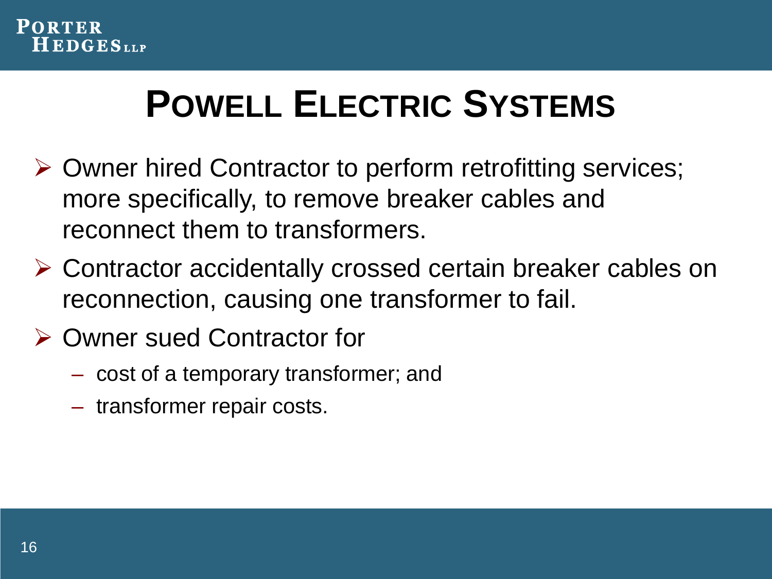

# **POWELL ELECTRIC SYSTEMS**

- Owner hired Contractor to perform retrofitting services; more specifically, to remove breaker cables and reconnect them to transformers.
- Contractor accidentally crossed certain breaker cables on reconnection, causing one transformer to fail.
- **▶ Owner sued Contractor for** 
	- cost of a temporary transformer; and
	- transformer repair costs.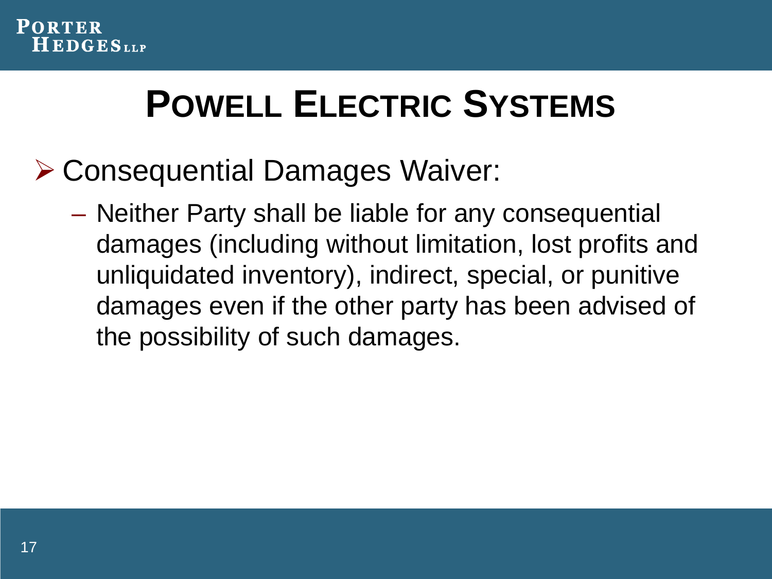

# **POWELL ELECTRIC SYSTEMS**

- Consequential Damages Waiver:
	- Neither Party shall be liable for any consequential damages (including without limitation, lost profits and unliquidated inventory), indirect, special, or punitive damages even if the other party has been advised of the possibility of such damages.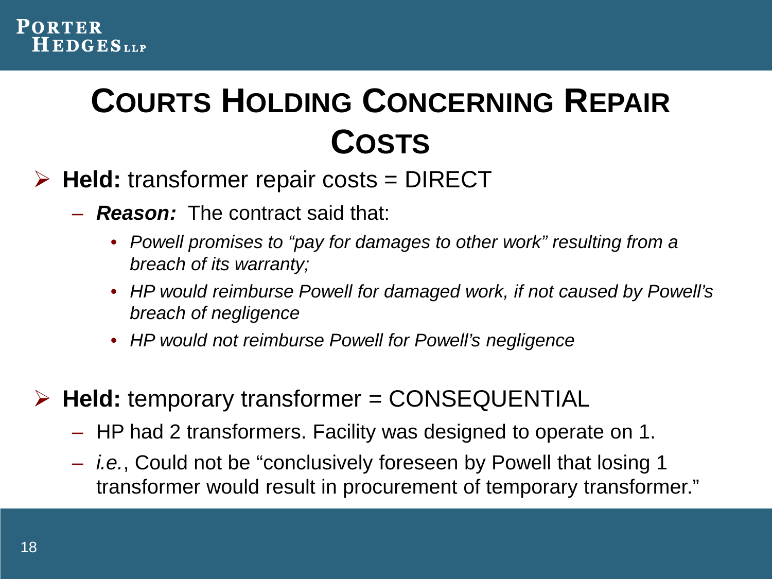

### **COURTS HOLDING CONCERNING REPAIR COSTS**

- **Held:** transformer repair costs = DIRECT
	- *Reason:* The contract said that:
		- *Powell promises to "pay for damages to other work" resulting from a breach of its warranty;*
		- *HP would reimburse Powell for damaged work, if not caused by Powell's breach of negligence*
		- *HP would not reimburse Powell for Powell's negligence*

**Held:** temporary transformer = CONSEQUENTIAL

- HP had 2 transformers. Facility was designed to operate on 1.
- *i.e.*, Could not be "conclusively foreseen by Powell that losing 1 transformer would result in procurement of temporary transformer."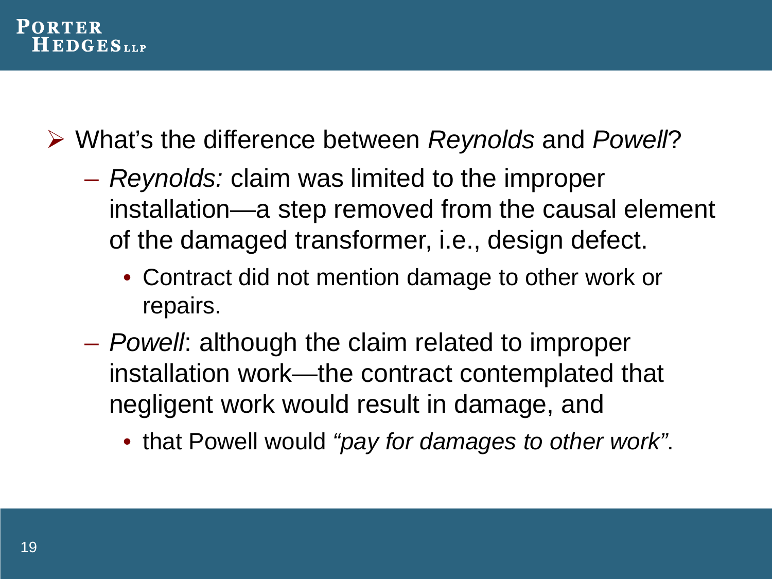

What's the difference between *Reynolds* and *Powell*?

- *Reynolds:* claim was limited to the improper installation—a step removed from the causal element of the damaged transformer, i.e., design defect.
	- Contract did not mention damage to other work or repairs.
- *Powell*: although the claim related to improper installation work—the contract contemplated that negligent work would result in damage, and
	- that Powell would *"pay for damages to other work"*.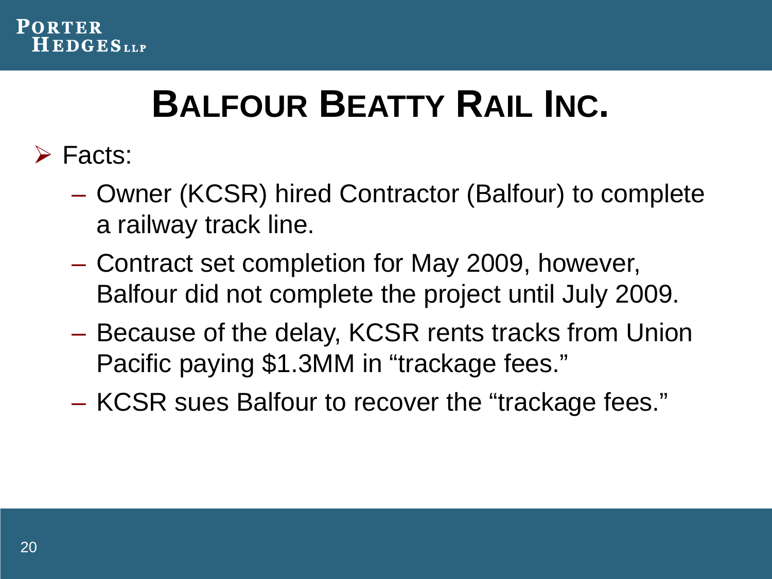

# **BALFOUR BEATTY RAIL INC.**

- **≻** Facts:
	- Owner (KCSR) hired Contractor (Balfour) to complete a railway track line.
	- Contract set completion for May 2009, however, Balfour did not complete the project until July 2009.
	- Because of the delay, KCSR rents tracks from Union Pacific paying \$1.3MM in "trackage fees."
	- KCSR sues Balfour to recover the "trackage fees."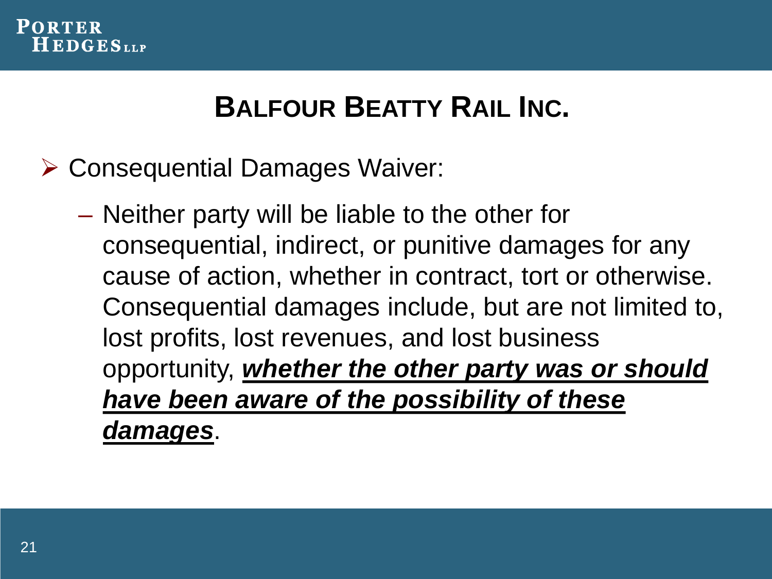

### **BALFOUR BEATTY RAIL INC.**

- Consequential Damages Waiver:
	- Neither party will be liable to the other for consequential, indirect, or punitive damages for any cause of action, whether in contract, tort or otherwise. Consequential damages include, but are not limited to, lost profits, lost revenues, and lost business opportunity, *whether the other party was or should have been aware of the possibility of these damages*.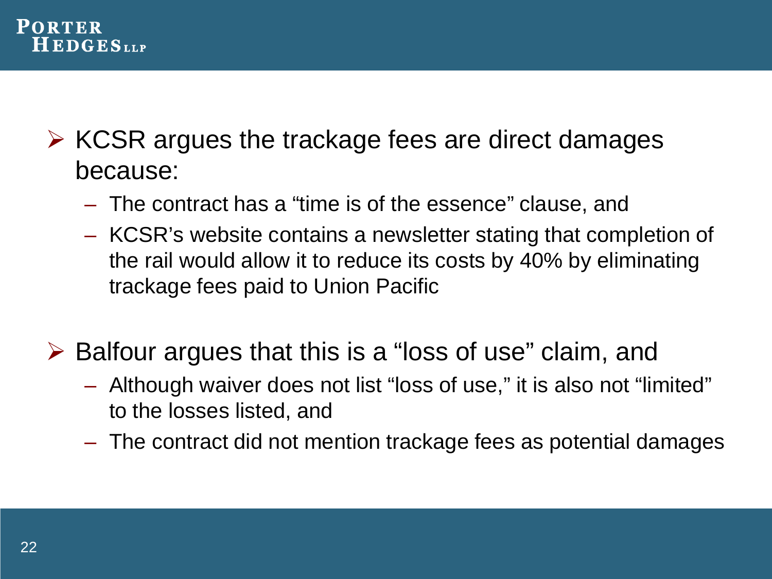

- $\triangleright$  KCSR argues the trackage fees are direct damages because:
	- The contract has a "time is of the essence" clause, and
	- KCSR's website contains a newsletter stating that completion of the rail would allow it to reduce its costs by 40% by eliminating trackage fees paid to Union Pacific
- $\triangleright$  Balfour argues that this is a "loss of use" claim, and
	- Although waiver does not list "loss of use," it is also not "limited" to the losses listed, and
	- The contract did not mention trackage fees as potential damages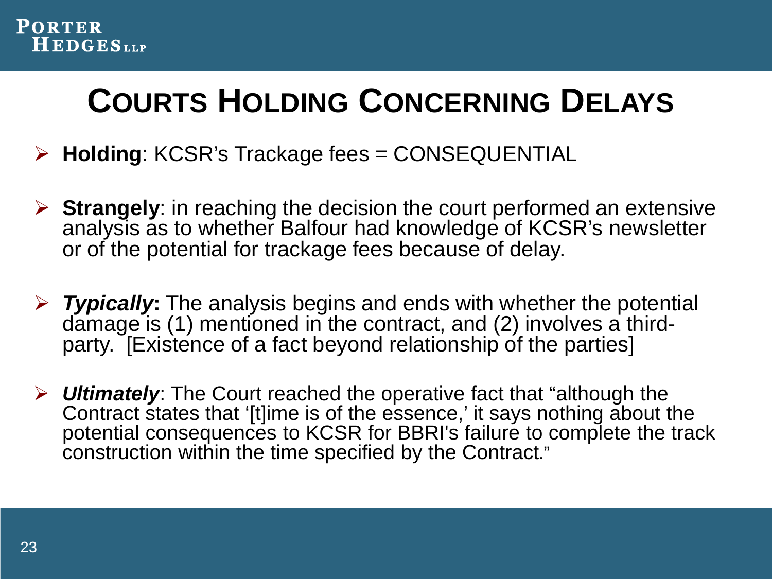

### **COURTS HOLDING CONCERNING DELAYS**

- **Holding**: KCSR's Trackage fees = CONSEQUENTIAL
- **Strangely**: in reaching the decision the court performed an extensive analysis as to whether Balfour had knowledge of KCSR's newsletter or of the potential for trackage fees because of delay.
- *Typically***:** The analysis begins and ends with whether the potential damage is (1) mentioned in the contract, and (2) involves a thirdparty. [Existence of a fact beyond relationship of the parties]
- *Ultimately*: The Court reached the operative fact that "although the Contract states that '[t]ime is of the essence,' it says nothing about the potential consequences to KCSR for BBRI's failure to complete the track construction within the time specified by the Contract."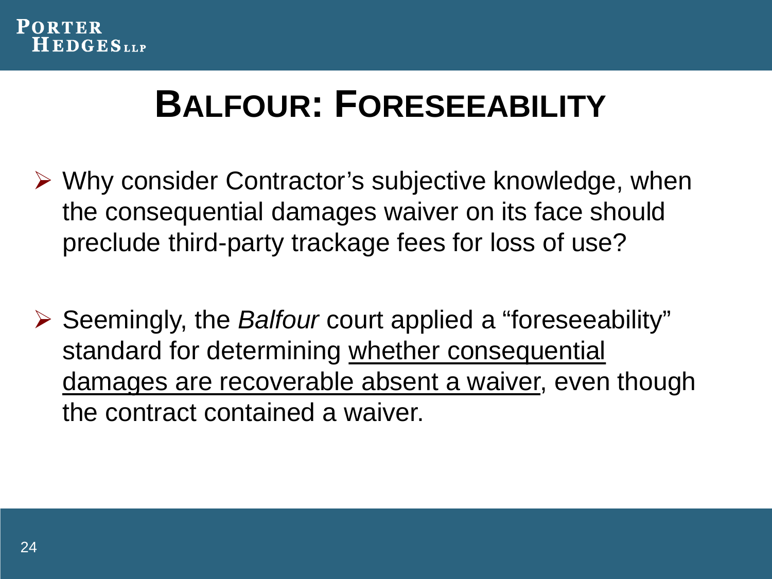

### **BALFOUR: FORESEEABILITY**

- Why consider Contractor's subjective knowledge, when the consequential damages waiver on its face should preclude third-party trackage fees for loss of use?
- Seemingly, the *Balfour* court applied a "foreseeability" standard for determining whether consequential damages are recoverable absent a waiver, even though the contract contained a waiver.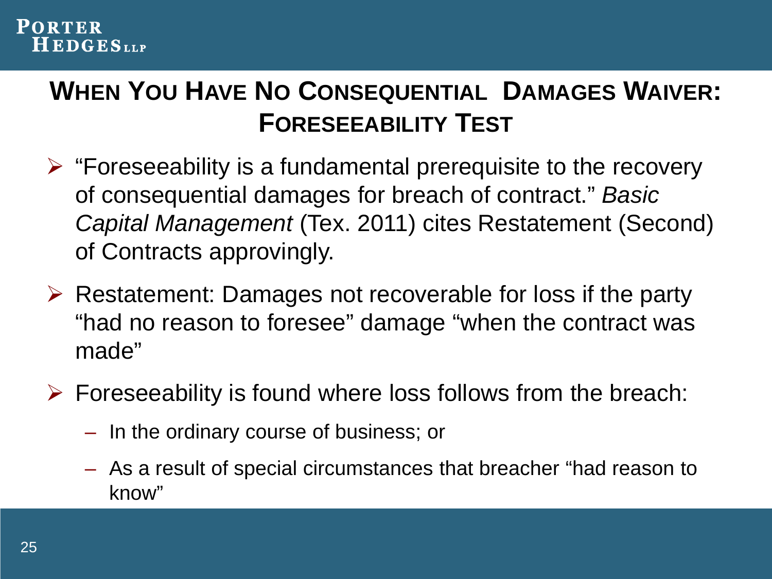#### **PORTER**  $H$  EDGES<sub>LLP</sub>

#### **WHEN YOU HAVE NO CONSEQUENTIAL DAMAGES WAIVER: FORESEEABILITY TEST**

- $\triangleright$  "Foreseeability is a fundamental prerequisite to the recovery of consequential damages for breach of contract." *Basic Capital Management* (Tex. 2011) cites Restatement (Second) of Contracts approvingly.
- $\triangleright$  Restatement: Damages not recoverable for loss if the party "had no reason to foresee" damage "when the contract was made"
- $\triangleright$  Foreseeability is found where loss follows from the breach:
	- In the ordinary course of business; or
	- As a result of special circumstances that breacher "had reason to know"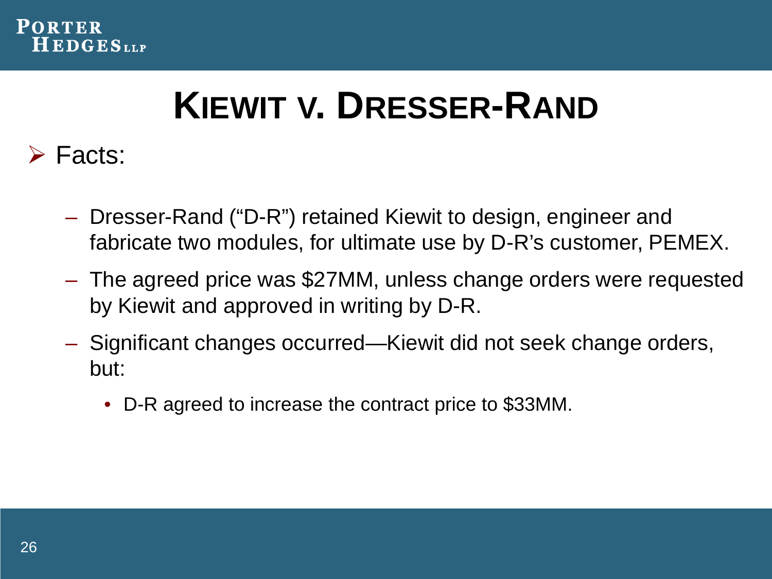

## **KIEWIT V. DRESSER-RAND**

#### **≻** Facts:

- Dresser-Rand ("D-R") retained Kiewit to design, engineer and fabricate two modules, for ultimate use by D-R's customer, PEMEX.
- The agreed price was \$27MM, unless change orders were requested by Kiewit and approved in writing by D-R.
- Significant changes occurred—Kiewit did not seek change orders, but:
	- D-R agreed to increase the contract price to \$33MM.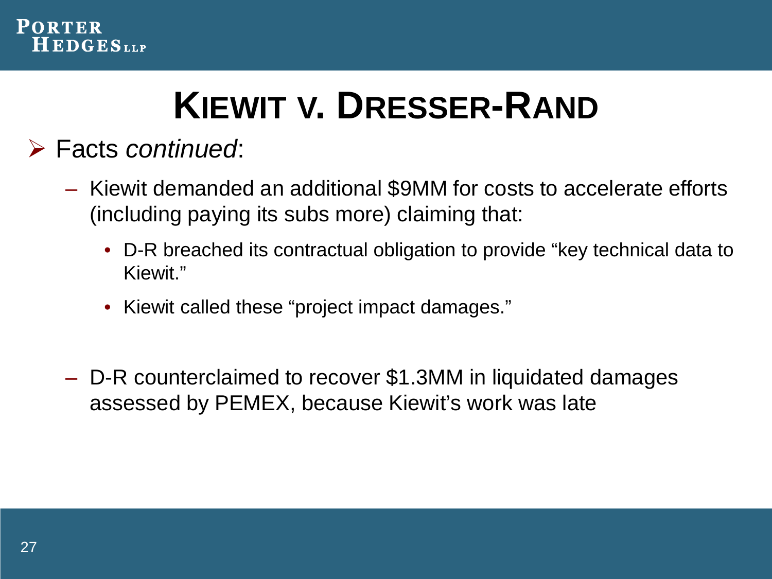

# **KIEWIT V. DRESSER-RAND**

#### Facts *continued*:

- Kiewit demanded an additional \$9MM for costs to accelerate efforts (including paying its subs more) claiming that:
	- D-R breached its contractual obligation to provide "key technical data to Kiewit."
	- Kiewit called these "project impact damages."
- D-R counterclaimed to recover \$1.3MM in liquidated damages assessed by PEMEX, because Kiewit's work was late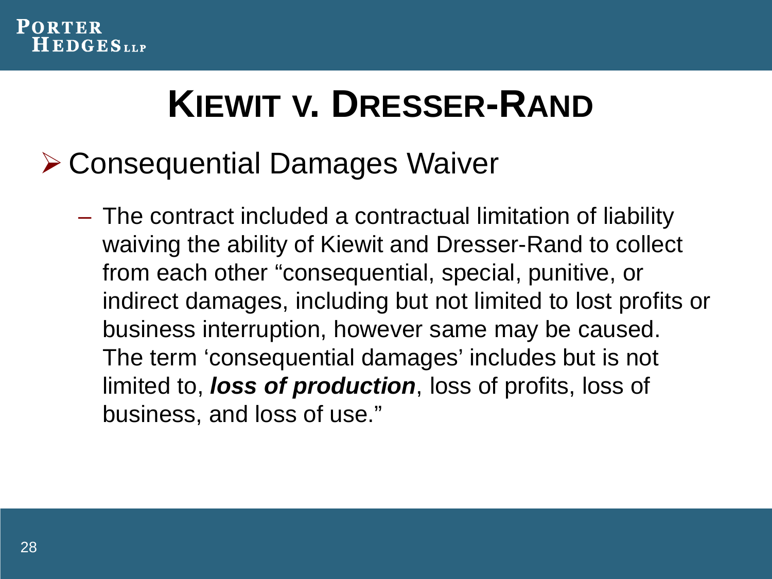

# **KIEWIT V. DRESSER-RAND**

### Consequential Damages Waiver

– The contract included a contractual limitation of liability waiving the ability of Kiewit and Dresser-Rand to collect from each other "consequential, special, punitive, or indirect damages, including but not limited to lost profits or business interruption, however same may be caused. The term 'consequential damages' includes but is not limited to, *loss of production*, loss of profits, loss of business, and loss of use."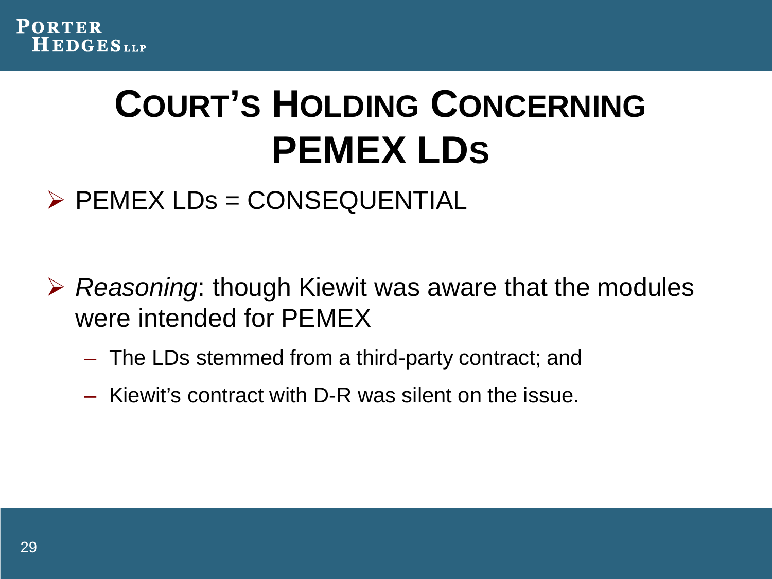

# **COURT'S HOLDING CONCERNING PEMEX LDS**

#### $\triangleright$  PEMEX LDs = CONSEQUENTIAL

- *Reasoning*: though Kiewit was aware that the modules were intended for PEMEX
	- The LDs stemmed from a third-party contract; and
	- Kiewit's contract with D-R was silent on the issue.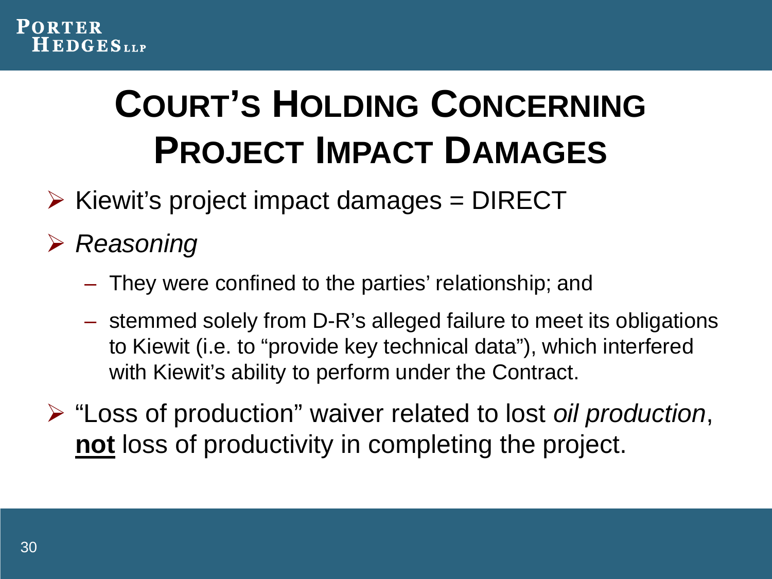# **COURT'S HOLDING CONCERNING PROJECT IMPACT DAMAGES**

- $\triangleright$  Kiewit's project impact damages = DIRECT
- *Reasoning*
	- They were confined to the parties' relationship; and
	- stemmed solely from D-R's alleged failure to meet its obligations to Kiewit (i.e. to "provide key technical data"), which interfered with Kiewit's ability to perform under the Contract.
- "Loss of production" waiver related to lost *oil production*, **not** loss of productivity in completing the project.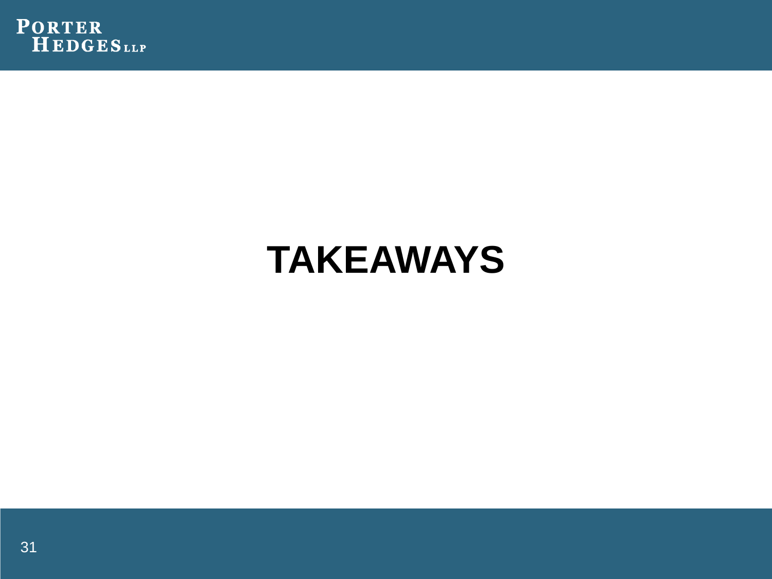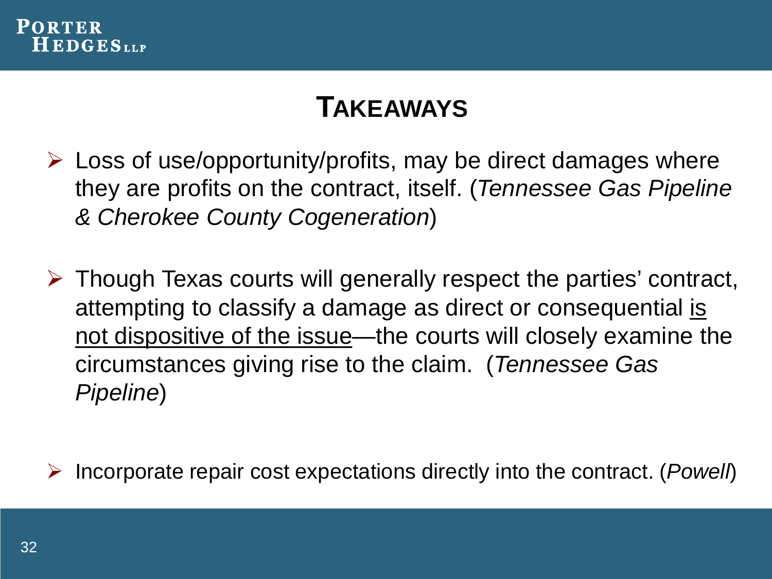

- $\triangleright$  Loss of use/opportunity/profits, may be direct damages where they are profits on the contract, itself. (*Tennessee Gas Pipeline & Cherokee County Cogeneration*)
- $\triangleright$  Though Texas courts will generally respect the parties' contract, attempting to classify a damage as direct or consequential is not dispositive of the issue—the courts will closely examine the circumstances giving rise to the claim. (*Tennessee Gas Pipeline*)

Incorporate repair cost expectations directly into the contract. (*Powell*)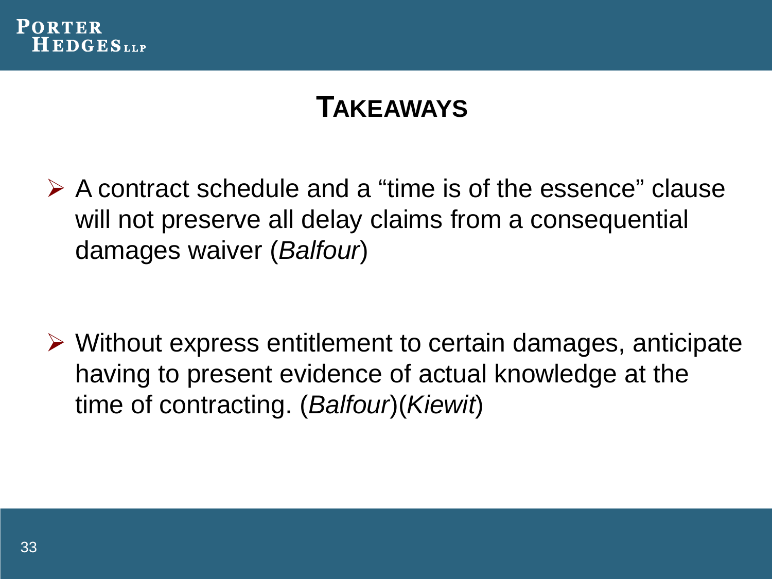

 $\triangleright$  A contract schedule and a "time is of the essence" clause will not preserve all delay claims from a consequential damages waiver (*Balfour*)

 Without express entitlement to certain damages, anticipate having to present evidence of actual knowledge at the time of contracting. (*Balfour*)(*Kiewit*)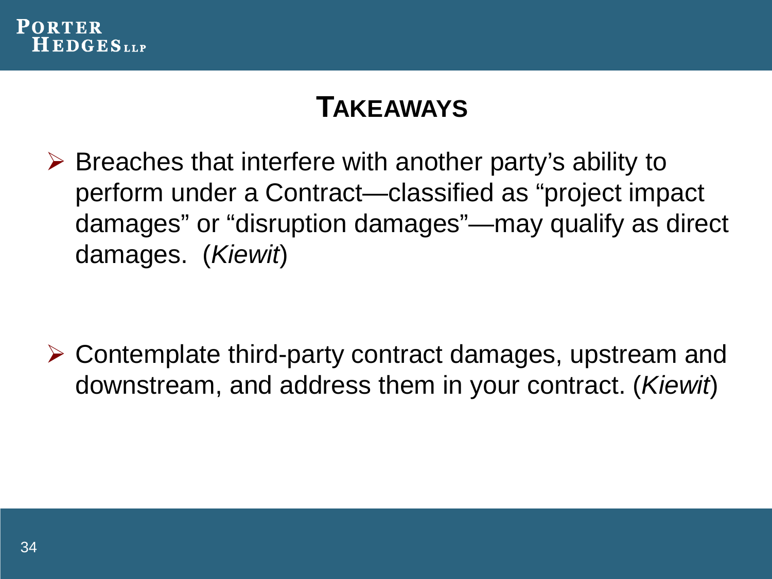

 $\triangleright$  Breaches that interfere with another party's ability to perform under a Contract—classified as "project impact damages" or "disruption damages"—may qualify as direct damages. (*Kiewit*)

 Contemplate third-party contract damages, upstream and downstream, and address them in your contract. (*Kiewit*)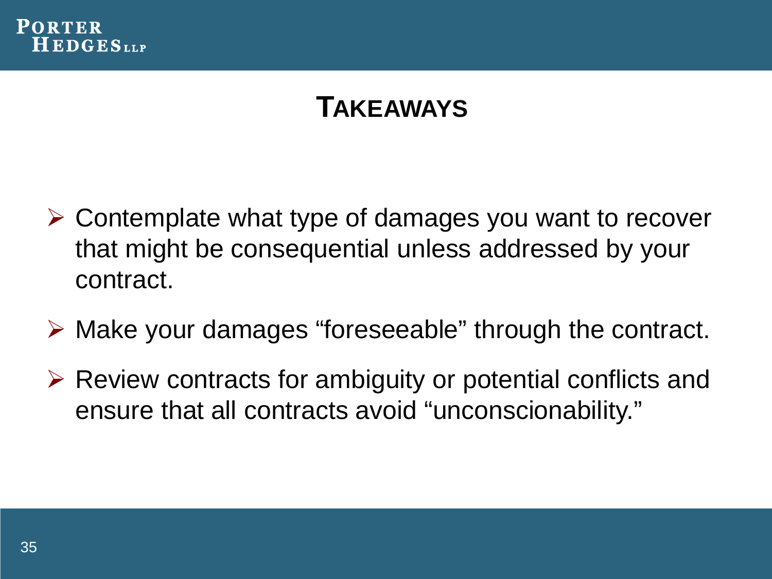

- Contemplate what type of damages you want to recover that might be consequential unless addressed by your contract.
- Make your damages "foreseeable" through the contract.
- $\triangleright$  Review contracts for ambiguity or potential conflicts and ensure that all contracts avoid "unconscionability."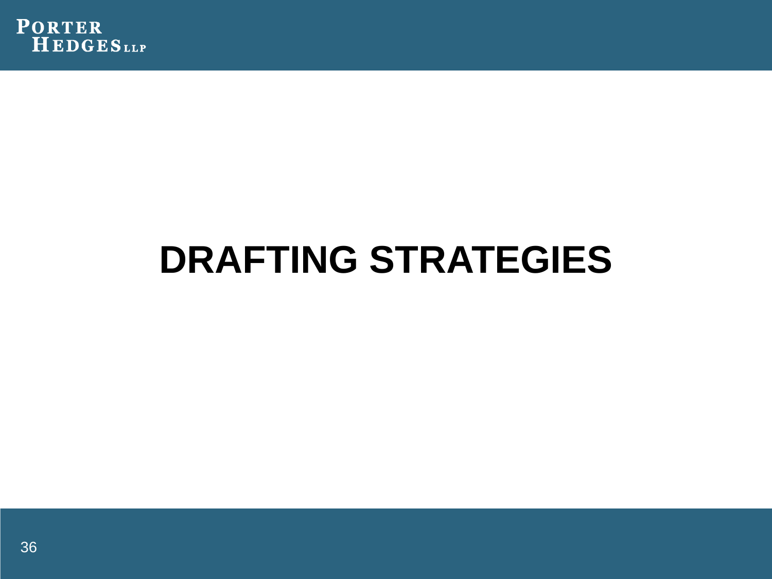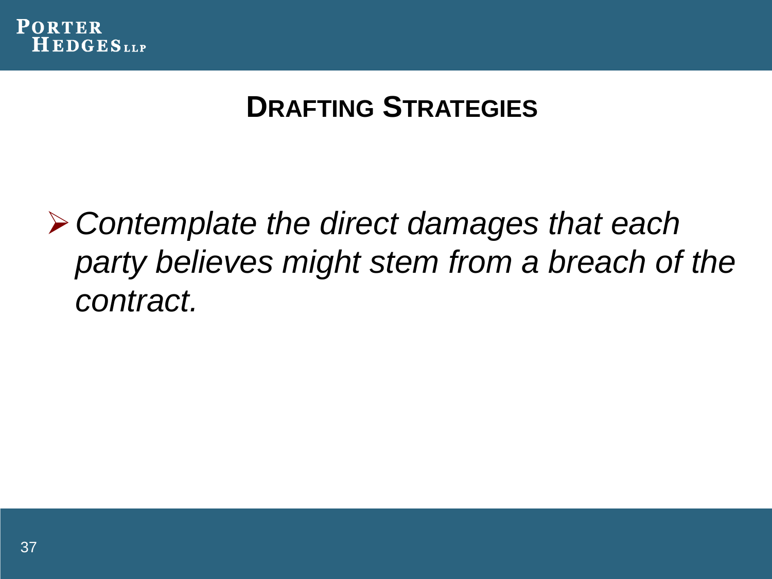

*Contemplate the direct damages that each party believes might stem from a breach of the contract.*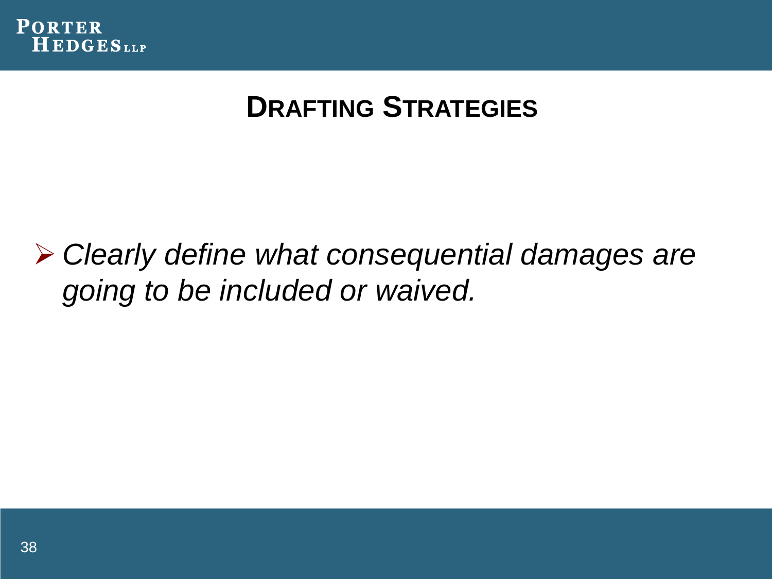

 *Clearly define what consequential damages are going to be included or waived.*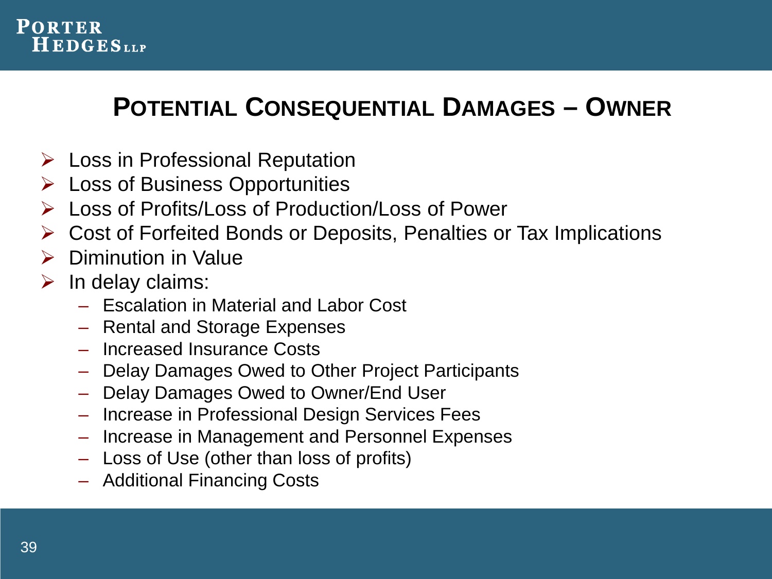

#### **POTENTIAL CONSEQUENTIAL DAMAGES – OWNER**

- $\triangleright$  Loss in Professional Reputation
- $\triangleright$  Loss of Business Opportunities
- Loss of Profits/Loss of Production/Loss of Power
- Cost of Forfeited Bonds or Deposits, Penalties or Tax Implications
- $\triangleright$  Diminution in Value
- $\triangleright$  In delay claims:
	- Escalation in Material and Labor Cost
	- Rental and Storage Expenses
	- Increased Insurance Costs
	- Delay Damages Owed to Other Project Participants
	- Delay Damages Owed to Owner/End User
	- Increase in Professional Design Services Fees
	- Increase in Management and Personnel Expenses
	- Loss of Use (other than loss of profits)
	- Additional Financing Costs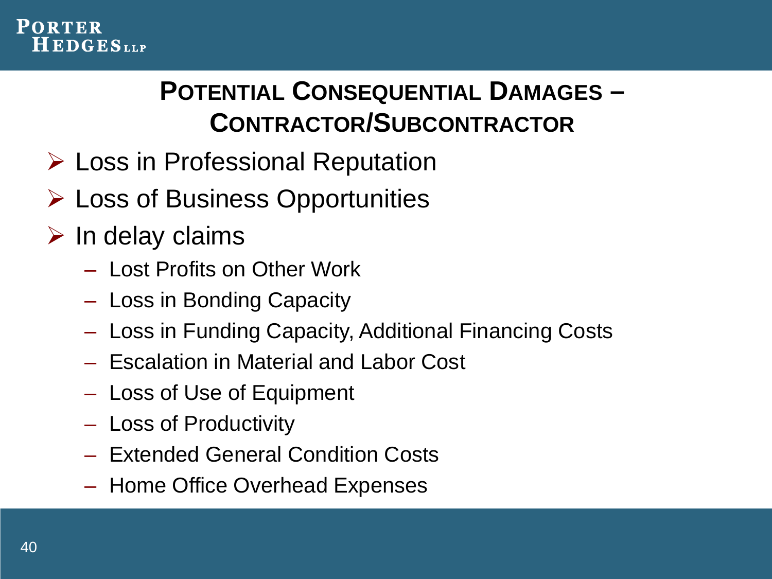#### **POTENTIAL CONSEQUENTIAL DAMAGES – CONTRACTOR/SUBCONTRACTOR**

- Loss in Professional Reputation
- Loss of Business Opportunities
- $\triangleright$  In delay claims
	- Lost Profits on Other Work
	- Loss in Bonding Capacity
	- Loss in Funding Capacity, Additional Financing Costs
	- Escalation in Material and Labor Cost
	- Loss of Use of Equipment
	- Loss of Productivity
	- Extended General Condition Costs
	- Home Office Overhead Expenses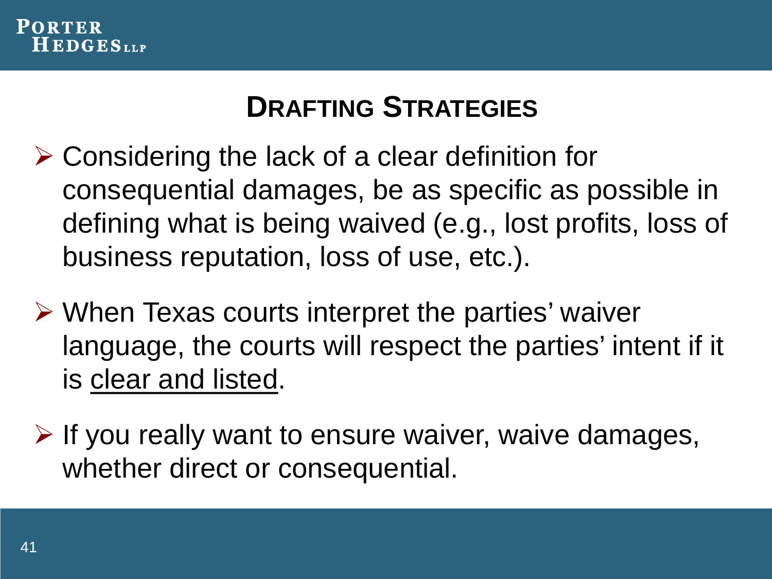

- $\triangleright$  Considering the lack of a clear definition for consequential damages, be as specific as possible in defining what is being waived (e.g., lost profits, loss of business reputation, loss of use, etc.).
- $\triangleright$  When Texas courts interpret the parties' waiver language, the courts will respect the parties' intent if it is clear and listed.
- $\triangleright$  If you really want to ensure waiver, waive damages, whether direct or consequential.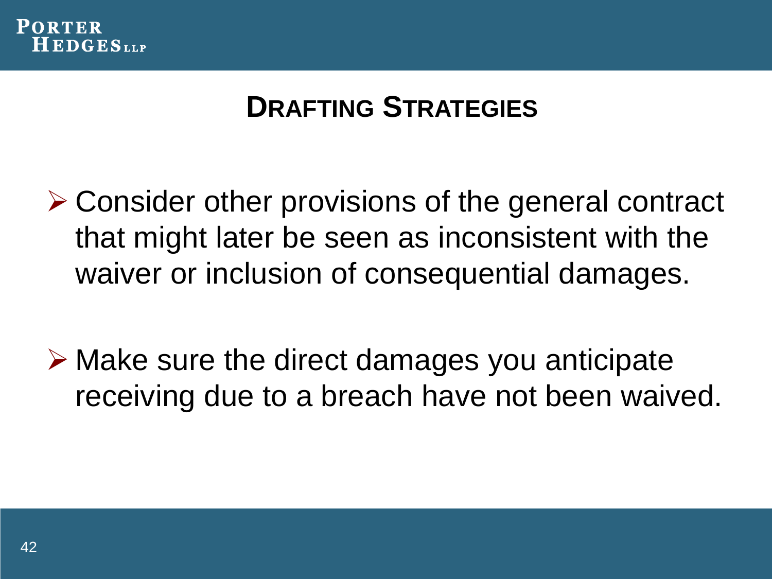

**≻ Consider other provisions of the general contract** that might later be seen as inconsistent with the waiver or inclusion of consequential damages.

 $\triangleright$  Make sure the direct damages you anticipate receiving due to a breach have not been waived.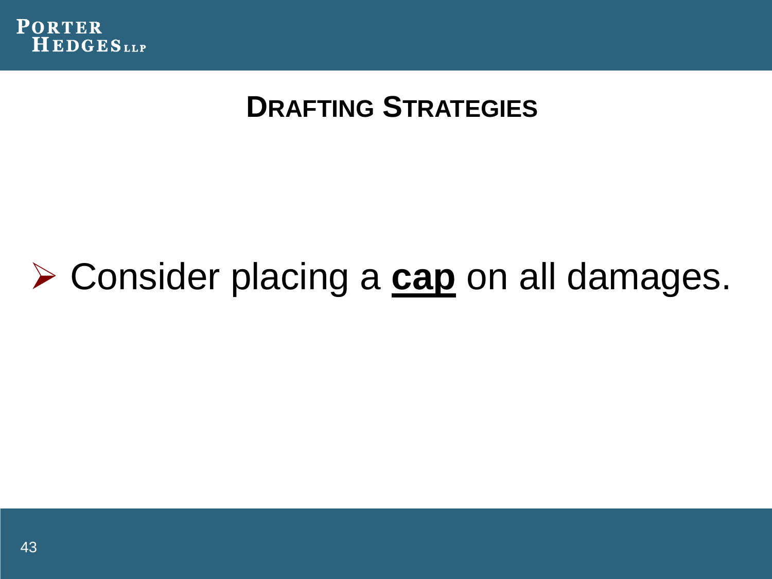

# Consider placing a **cap** on all damages.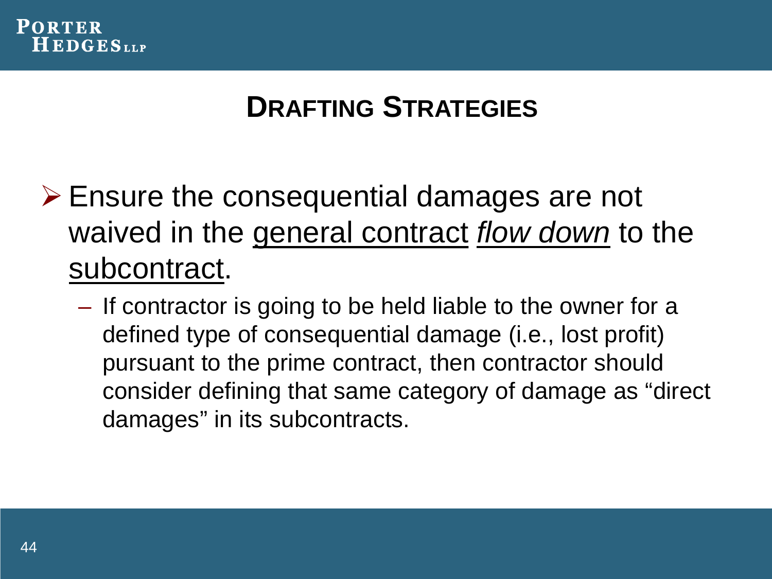

- Ensure the consequential damages are not waived in the general contract *flow down* to the subcontract.
	- If contractor is going to be held liable to the owner for a defined type of consequential damage (i.e., lost profit) pursuant to the prime contract, then contractor should consider defining that same category of damage as "direct damages" in its subcontracts.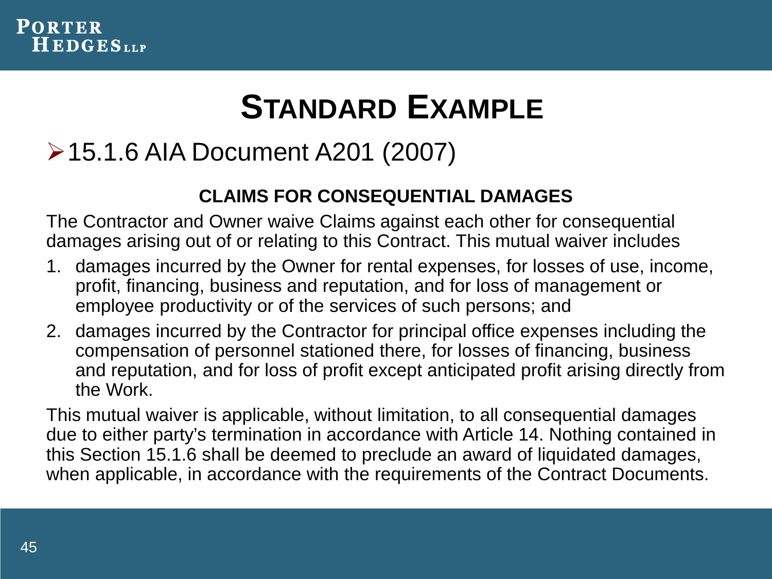

### **STANDARD EXAMPLE**

#### 15.1.6 AIA Document A201 (2007)

#### **CLAIMS FOR CONSEQUENTIAL DAMAGES**

The Contractor and Owner waive Claims against each other for consequential damages arising out of or relating to this Contract. This mutual waiver includes

- 1. damages incurred by the Owner for rental expenses, for losses of use, income, profit, financing, business and reputation, and for loss of management or employee productivity or of the services of such persons; and
- 2. damages incurred by the Contractor for principal office expenses including the compensation of personnel stationed there, for losses of financing, business and reputation, and for loss of profit except anticipated profit arising directly from the Work.

This mutual waiver is applicable, without limitation, to all consequential damages due to either party's termination in accordance with Article 14. Nothing contained in this Section 15.1.6 shall be deemed to preclude an award of liquidated damages, when applicable, in accordance with the requirements of the Contract Documents.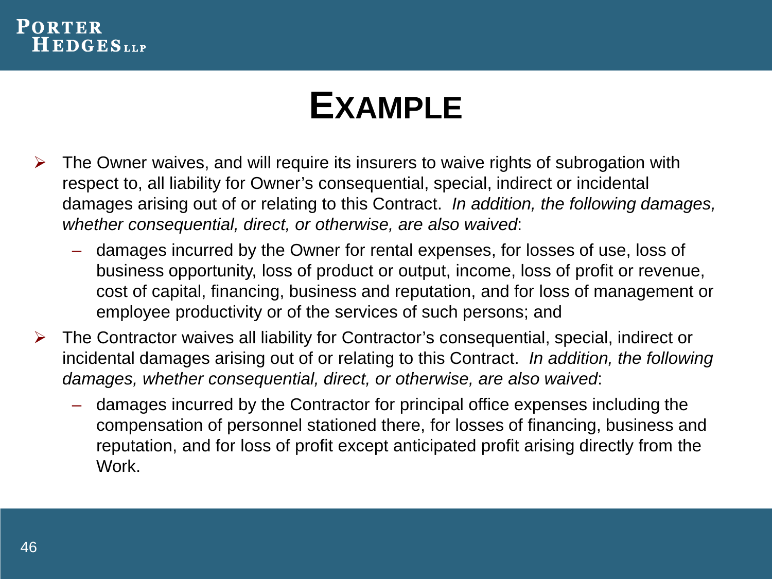#### **PORTER HEDGES**LLP

### **EXAMPLE**

- $\triangleright$  The Owner waives, and will require its insurers to waive rights of subrogation with respect to, all liability for Owner's consequential, special, indirect or incidental damages arising out of or relating to this Contract. *In addition, the following damages, whether consequential, direct, or otherwise, are also waived*:
	- damages incurred by the Owner for rental expenses, for losses of use, loss of business opportunity, loss of product or output, income, loss of profit or revenue, cost of capital, financing, business and reputation, and for loss of management or employee productivity or of the services of such persons; and
- $\triangleright$  The Contractor waives all liability for Contractor's consequential, special, indirect or incidental damages arising out of or relating to this Contract. *In addition, the following damages, whether consequential, direct, or otherwise, are also waived*:
	- damages incurred by the Contractor for principal office expenses including the compensation of personnel stationed there, for losses of financing, business and reputation, and for loss of profit except anticipated profit arising directly from the Work.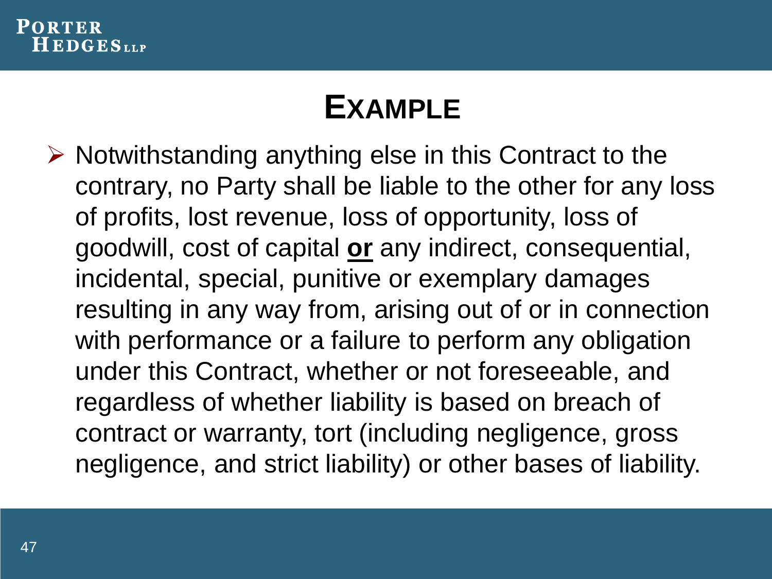

### **EXAMPLE**

 $\triangleright$  Notwithstanding anything else in this Contract to the contrary, no Party shall be liable to the other for any loss of profits, lost revenue, loss of opportunity, loss of goodwill, cost of capital **or** any indirect, consequential, incidental, special, punitive or exemplary damages resulting in any way from, arising out of or in connection with performance or a failure to perform any obligation under this Contract, whether or not foreseeable, and regardless of whether liability is based on breach of contract or warranty, tort (including negligence, gross negligence, and strict liability) or other bases of liability.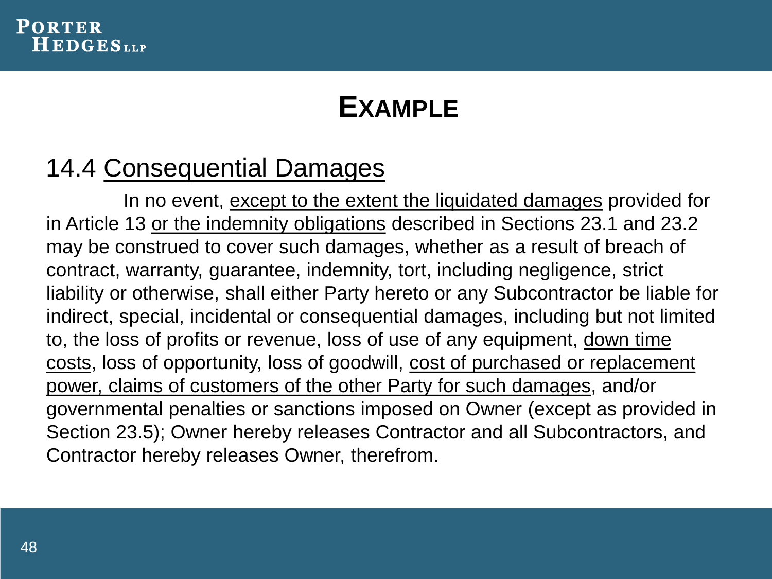#### **PORTER HEDGES**LLP

#### **EXAMPLE**

#### 14.4 Consequential Damages

In no event, except to the extent the liquidated damages provided for in Article 13 or the indemnity obligations described in Sections 23.1 and 23.2 may be construed to cover such damages, whether as a result of breach of contract, warranty, guarantee, indemnity, tort, including negligence, strict liability or otherwise, shall either Party hereto or any Subcontractor be liable for indirect, special, incidental or consequential damages, including but not limited to, the loss of profits or revenue, loss of use of any equipment, down time costs, loss of opportunity, loss of goodwill, cost of purchased or replacement power, claims of customers of the other Party for such damages, and/or governmental penalties or sanctions imposed on Owner (except as provided in Section 23.5); Owner hereby releases Contractor and all Subcontractors, and Contractor hereby releases Owner, therefrom.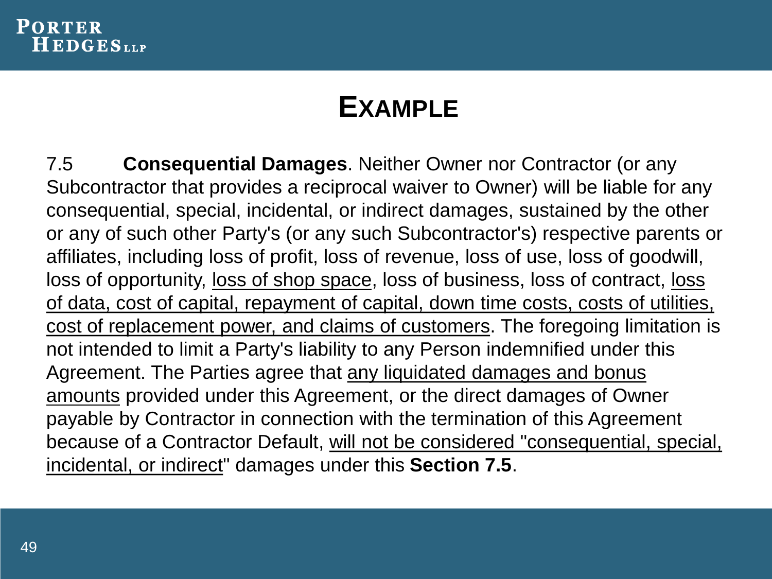

#### **EXAMPLE**

7.5 **Consequential Damages**. Neither Owner nor Contractor (or any Subcontractor that provides a reciprocal waiver to Owner) will be liable for any consequential, special, incidental, or indirect damages, sustained by the other or any of such other Party's (or any such Subcontractor's) respective parents or affiliates, including loss of profit, loss of revenue, loss of use, loss of goodwill, loss of opportunity, loss of shop space, loss of business, loss of contract, loss of data, cost of capital, repayment of capital, down time costs, costs of utilities, cost of replacement power, and claims of customers. The foregoing limitation is not intended to limit a Party's liability to any Person indemnified under this Agreement. The Parties agree that any liquidated damages and bonus amounts provided under this Agreement, or the direct damages of Owner payable by Contractor in connection with the termination of this Agreement because of a Contractor Default, will not be considered "consequential, special, incidental, or indirect" damages under this **Section 7.5**.